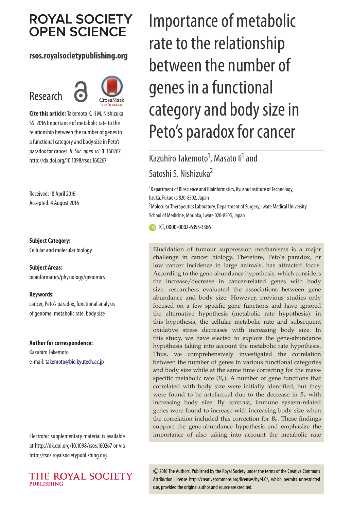# **ROYAL SOCIETY OPEN SCIENCE**

#### **rsos.royalsocietypublishing.org**

# Research



**Cite this article:**Takemoto K, Ii M, Nishizuka SS. 2016 Importance of metabolic rate to the relationship between the number of genes in a functional category and body size in Peto's paradox for cancer.*R. Soc. open sci.***3**: 160267. http://dx.doi.org/10.1098/rsos.160267

Received: 18 April 2016 Accepted: 4 August 2016

#### **Subject Category:**

Cellular and molecular biology

**Subject Areas:** bioinformatics/physiology/genomics

#### **Keywords:**

cancer, Peto's paradox, functional analysis of genome, metabolic rate, body size

#### **Author for correspondence:**

Kazuhiro Takemoto e-mail: [takemoto@bio.kyutech.ac.jp](mailto:takemoto@bio.kyutech.ac.jp)

Electronic supplementary material is available at http://dx.doi.org/10.1098/rsos.160267 or via http://rsos.royalsocietypublishing.org.



# Importance of metabolic rate to the relationship between the number of genes in a functional category and body size in Peto's paradox for cancer

# Kazuhiro Takemoto<sup>1</sup>, Masato li<sup>1</sup> and Satoshi S. Nishizuka2

<sup>1</sup>Department of Bioscience and Bioinformatics, Kyushu Institute of Technology, Iizuka, Fukuoka 820-8502, Japan <sup>2</sup> Molecular Therapeutics Laboratory, Department of Surgery, Iwate Medical University

School of Medicine, Morioka, Iwate 020-8505, Japan

**MD** KT, [0000-0002-6355-1366](http://orcid.org/0000-0002-6355-1366)

Elucidation of tumour suppression mechanisms is a major challenge in cancer biology. Therefore, Peto's paradox, or low cancer incidence in large animals, has attracted focus. According to the gene-abundance hypothesis, which considers the increase/decrease in cancer-related genes with body size, researchers evaluated the associations between gene abundance and body size. However, previous studies only focused on a few specific gene functions and have ignored the alternative hypothesis (metabolic rate hypothesis): in this hypothesis, the cellular metabolic rate and subsequent oxidative stress decreases with increasing body size. In this study, we have elected to explore the gene-abundance hypothesis taking into account the metabolic rate hypothesis. Thus, we comprehensively investigated the correlation between the number of genes in various functional categories and body size while at the same time correcting for the massspecific metabolic rate  $(B_c)$ . A number of gene functions that correlated with body size were initially identified, but they were found to be artefactual due to the decrease in  $B_c$  with increasing body size. By contrast, immune system-related genes were found to increase with increasing body size when the correlation included this correction for  $B_c$ . These findings support the gene-abundance hypothesis and emphasize the importance of also taking into account the metabolic rate

2016 The Authors. Published by the Royal Society under the terms of the Creative Commons Attribution License http://creativecommons.org/licenses/by/4.0/, which permits unrestricted use, provided the original author and source are credited.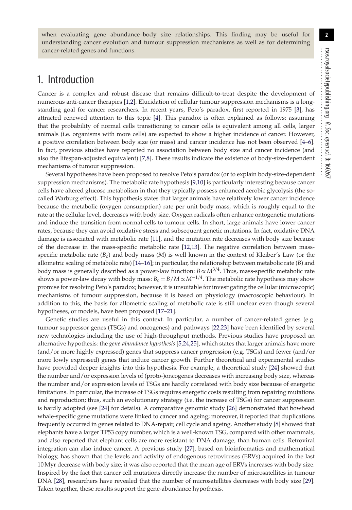when evaluating gene abundance–body size relationships. This finding may be useful for understanding cancer evolution and tumour suppression mechanisms as well as for determining cancer-related genes and functions.

## 1. Introduction

Cancer is a complex and robust disease that remains difficult-to-treat despite the development of numerous anti-cancer therapies [\[1](#page-9-0)[,2\]](#page-9-1). Elucidation of cellular tumour suppression mechanisms is a longstanding goal for cancer researchers. In recent years, Peto's paradox, first reported in 1975 [\[3\]](#page-9-2), has attracted renewed attention to this topic [\[4\]](#page-9-3). This paradox is often explained as follows: assuming that the probability of normal cells transitioning to cancer cells is equivalent among all cells, larger animals (i.e. organisms with more cells) are expected to show a higher incidence of cancer. However, a positive correlation between body size (or mass) and cancer incidence has not been observed [\[4–](#page-9-3)[6\]](#page-9-4). In fact, previous studies have reported no association between body size and cancer incidence (and also the lifespan-adjusted equivalent) [\[7](#page-9-5)[,8\]](#page-9-6). These results indicate the existence of body-size-dependent mechanisms of tumour suppression.

Several hypotheses have been proposed to resolve Peto's paradox (or to explain body-size-dependent suppression mechanisms). The metabolic rate hypothesis [\[9,](#page-9-7)[10\]](#page-9-8) is particularly interesting because cancer cells have altered glucose metabolism in that they typically possess enhanced aerobic glycolysis (the socalled Warburg effect). This hypothesis states that larger animals have relatively lower cancer incidence because the metabolic (oxygen consumption) rate per unit body mass, which is roughly equal to the rate at the cellular level, decreases with body size. Oxygen radicals often enhance ontogenetic mutations and induce the transition from normal cells to tumour cells. In short, large animals have lower cancer rates, because they can avoid oxidative stress and subsequent genetic mutations. In fact, oxidative DNA damage is associated with metabolic rate [\[11\]](#page-9-9), and the mutation rate decreases with body size because of the decrease in the mass-specific metabolic rate [\[12,](#page-9-10)[13\]](#page-9-11). The negative correlation between massspecific metabolic rate (*B*c) and body mass (*M*) is well known in the context of Kleiber's Law (or the allometric scaling of metabolic rate) [\[14](#page-9-12)[–16\]](#page-9-13); in particular, the relationship between metabolic rate (*B*) and body mass is generally described as a power-law function:  $B \propto M^{3/4}$ . Thus, mass-specific metabolic rate shows a power-law decay with body mass:  $B_c = B/M \propto M^{-1/4}$ . The metabolic rate hypothesis may show promise for resolving Peto's paradox; however, it is unsuitable for investigating the cellular (microscopic) mechanisms of tumour suppression, because it is based on physiology (macroscopic behaviour). In addition to this, the basis for allometric scaling of metabolic rate is still unclear even though several hypotheses, or models, have been proposed [\[17](#page-9-14)[–21\]](#page-9-15).

Genetic studies are useful in this context. In particular, a number of cancer-related genes (e.g. tumour suppressor genes (TSGs) and oncogenes) and pathways [\[22](#page-9-16)[,23\]](#page-9-17) have been identified by several new technologies including the use of high-throughput methods. Previous studies have proposed an alternative hypothesis: the *gene-abundance hypothesis* [\[5,](#page-9-18)[24](#page-9-19)[,25\]](#page-9-20), which states that larger animals have more (and/or more highly expressed) genes that suppress cancer progression (e.g. TSGs) and fewer (and/or more lowly expressed) genes that induce cancer growth. Further theoretical and experimental studies have provided deeper insights into this hypothesis. For example, a theoretical study [\[24\]](#page-9-19) showed that the number and/or expression levels of (proto-)oncogenes decreases with increasing body size, whereas the number and/or expression levels of TSGs are hardly correlated with body size because of energetic limitations. In particular, the increase of TSGs requires energetic costs resulting from repairing mutations and reproduction; thus, such an evolutionary strategy (i.e. the increase of TSGs) for cancer suppression is hardly adopted (see [\[24\]](#page-9-19) for details). A comparative genomic study [\[26\]](#page-9-21) demonstrated that bowhead whale-specific gene mutations were linked to cancer and ageing; moreover, it reported that duplications frequently occurred in genes related to DNA-repair, cell cycle and ageing. Another study [\[8\]](#page-9-6) showed that elephants have a larger TP53 copy number, which is a well-known TSG, compared with other mammals, and also reported that elephant cells are more resistant to DNA damage, than human cells. Retroviral integration can also induce cancer. A previous study [\[27\]](#page-9-22), based on bioinformatics and mathematical biology, has shown that the levels and activity of endogenous retroviruses (ERVs) acquired in the last 10 Myr decrease with body size; it was also reported that the mean age of ERVs increases with body size. Inspired by the fact that cancer cell mutations directly increase the number of microsatellites in tumour DNA [\[28\]](#page-9-23), researchers have revealed that the number of microsatellites decreases with body size [\[29\]](#page-9-24). Taken together, these results support the gene-abundance hypothesis.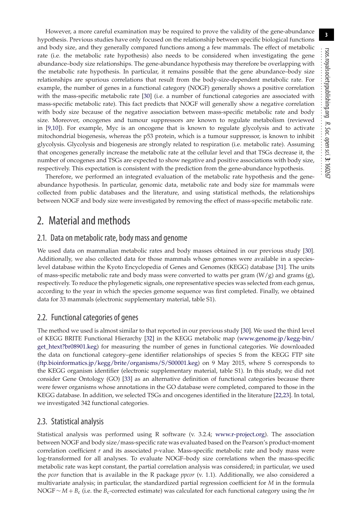However, a more careful examination may be required to prove the validity of the gene-abundance hypothesis. Previous studies have only focused on the relationship between specific biological functions and body size, and they generally compared functions among a few mammals. The effect of metabolic rate (i.e. the metabolic rate hypothesis) also needs to be considered when investigating the gene abundance–body size relationships. The gene-abundance hypothesis may therefore be overlapping with the metabolic rate hypothesis. In particular, it remains possible that the gene abundance–body size relationships are spurious correlations that result from the body-size-dependent metabolic rate. For example, the number of genes in a functional category (NOGF) generally shows a positive correlation with the mass-specific metabolic rate [\[30\]](#page-9-25) (i.e. a number of functional categories are associated with mass-specific metabolic rate). This fact predicts that NOGF will generally show a negative correlation with body size because of the negative association between mass-specific metabolic rate and body size. Moreover, oncogenes and tumour suppressors are known to regulate metabolism (reviewed in [\[9,](#page-9-7)[10\]](#page-9-8)). For example, Myc is an oncogene that is known to regulate glycolysis and to activate mitochondrial biogenesis, whereas the p53 protein, which is a tumour suppressor, is known to inhibit glycolysis. Glycolysis and biogenesis are strongly related to respiration (i.e. metabolic rate). Assuming that oncogenes generally increase the metabolic rate at the cellular level and that TSGs decrease it, the number of oncogenes and TSGs are expected to show negative and positive associations with body size, respectively. This expectation is consistent with the prediction from the gene-abundance hypothesis.

Therefore, we performed an integrated evaluation of the metabolic rate hypothesis and the geneabundance hypothesis. In particular, genomic data, metabolic rate and body size for mammals were collected from public databases and the literature, and using statistical methods, the relationships between NOGF and body size were investigated by removing the effect of mass-specific metabolic rate.

## 2. Material and methods

#### 2.1. Data on metabolic rate, body mass and genome

We used data on mammalian metabolic rates and body masses obtained in our previous study [\[30\]](#page-9-25). Additionally, we also collected data for those mammals whose genomes were available in a specieslevel database within the Kyoto Encyclopedia of Genes and Genomes (KEGG) database [\[31\]](#page-9-26). The units of mass-specific metabolic rate and body mass were converted to watts per gram  $(W/g)$  and grams  $(g)$ , respectively. To reduce the phylogenetic signals, one representative species was selected from each genus, according to the year in which the species genome sequence was first completed. Finally, we obtained data for 33 mammals (electronic supplementary material, table S1).

#### 2.2. Functional categories of genes

The method we used is almost similar to that reported in our previous study [\[30\]](#page-9-25). We used the third level of KEGG BRITE Functional Hierarchy [\[32\]](#page-9-27) in the KEGG metabolic map [\(www.genome.jp/kegg-bin/](www.genome.jp/kegg-bin/get_htext?br08901.keg) [get\\_htext?br08901.keg\)](www.genome.jp/kegg-bin/get_htext?br08901.keg) for measuring the number of genes in functional categories. We downloaded the data on functional category–gene identifier relationships of species S from the KEGG FTP site [\(ftp.bioinformatics.jp/kegg/brite/organisms/S/S00001.keg\)](ftp.bioinformatics.jp/kegg/brite/organisms/S/S00001.keg) on 9 May 2015, where S corresponds to the KEGG organism identifier (electronic supplementary material, table S1). In this study, we did not consider Gene Ontology (GO) [\[33\]](#page-9-28) as an alternative definition of functional categories because there were fewer organisms whose annotations in the GO database were completed, compared to those in the KEGG database. In addition, we selected TSGs and oncogenes identified in the literature [\[22,](#page-9-16)[23\]](#page-9-17). In total, we investigated 342 functional categories.

#### 2.3. Statistical analysis

Statistical analysis was performed using R software (v. 3.2.4; [www.r-project.org\)](www.r-project.org). The association between NOGF and body size/mass-specific rate was evaluated based on the Pearson's product-moment correlation coefficient *r* and its associated *p*-value. Mass-specific metabolic rate and body mass were log-transformed for all analyses. To evaluate NOGF–body size correlations when the mass-specific metabolic rate was kept constant, the partial correlation analysis was considered; in particular, we used the *pcor* function that is available in the R package *ppcor* (v. 1.1). Additionally, we also considered a multivariate analysis; in particular, the standardized partial regression coefficient for *M* in the formula NOGF ∼ *M* + *B*<sup>c</sup> (i.e. the *B*c-corrected estimate) was calculated for each functional category using the *lm*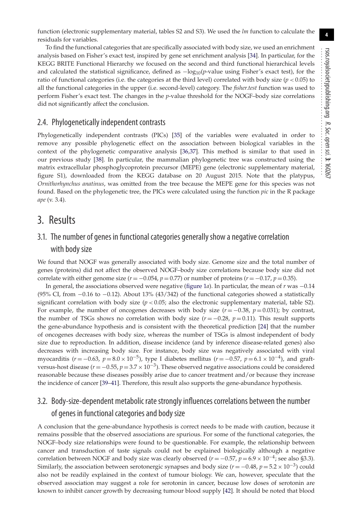**4**

To find the functional categories that are specifically associated with body size, we used an enrichment analysis based on Fisher's exact test, inspired by gene set enrichment analysis [\[34\]](#page-9-29). In particular, for the KEGG BRITE Functional Hierarchy we focused on the second and third functional hierarchical levels and calculated the statistical significance, defined as −log10(*p*-value using Fisher's exact test), for the ratio of functional categories (i.e. the categories at the third level) correlated with body size (*p* < 0.05) to all the functional categories in the upper (i.e. second-level) category. The *fisher.test* function was used to perform Fisher's exact test. The changes in the *p*-value threshold for the NOGF–body size correlations did not significantly affect the conclusion.

#### 2.4. Phylogenetically independent contrasts

Phylogenetically independent contrasts (PICs) [\[35\]](#page-9-30) of the variables were evaluated in order to remove any possible phylogenetic effect on the association between biological variables in the context of the phylogenetic comparative analysis [\[36,](#page-9-31)[37\]](#page-9-32). This method is similar to that used in our previous study [\[38\]](#page-9-33). In particular, the mammalian phylogenetic tree was constructed using the matrix extracellular phosphoglycoprotein precursor (MEPE) gene (electronic supplementary material, figure S1), downloaded from the KEGG database on 20 August 2015. Note that the platypus, *Ornithorhynchus anatinus*, was omitted from the tree because the MEPE gene for this species was not found. Based on the phylogenetic tree, the PICs were calculated using the function *pic* in the R package *ape* (v. 3.4).

### 3. Results

#### 3.1. The number of genes in functional categories generally show a negative correlation with body size

We found that NOGF was generally associated with body size. Genome size and the total number of genes (proteins) did not affect the observed NOGF–body size correlations because body size did not correlate with either genome size ( $r = -0.054$ ,  $p = 0.77$ ) or number of proteins ( $r = -0.17$ ,  $p = 0.35$ ).

In general, the associations observed were negative [\(figure 1](#page-4-0)*a*). In particular, the mean of *r* was −0.14 (95% CI, from −0.16 to −0.12). About 13% (43/342) of the functional categories showed a statistically significant correlation with body size  $(p < 0.05)$ ; also the electronic supplementary material, table S2). For example, the number of oncogenes decreases with body size  $(r = -0.38, p = 0.031)$ ; by contrast, the number of TSGs shows no correlation with body size  $(r = -0.28, p = 0.11)$ . This result supports the gene-abundance hypothesis and is consistent with the theoretical prediction [\[24\]](#page-9-19) that the number of oncogenes decreases with body size, whereas the number of TSGs is almost independent of body size due to reproduction. In addition, disease incidence (and by inference disease-related genes) also decreases with increasing body size. For instance, body size was negatively associated with viral myocarditis ( $r = -0.63$ ,  $p = 8.0 \times 10^{-5}$ ), type I diabetes mellitus ( $r = -0.57$ ,  $p = 6.1 \times 10^{-4}$ ), and graftversus-host disease ( $r = -0.55$ ,  $p = 3.7 \times 10^{-3}$ ). These observed negative associations could be considered reasonable because these diseases possibly arise due to cancer treatment and/or because they increase the incidence of cancer [\[39–](#page-9-34)[41\]](#page-9-35). Therefore, this result also supports the gene-abundance hypothesis.

#### 3.2. Body-size-dependent metabolic rate strongly influences correlations between the number of genes in functional categories and body size

A conclusion that the gene-abundance hypothesis is correct needs to be made with caution, because it remains possible that the observed associations are spurious. For some of the functional categories, the NOGF–body size relationships were found to be questionable. For example, the relationship between cancer and transduction of taste signals could not be explained biologically although a negative correlation between NOGF and body size was clearly observed ( $r = -0.57$ ,  $p = 6.9 \times 10^{-4}$ ; see also §3.3). Similarly, the association between serotonergic synapses and body size ( $r = -0.48$ ,  $p = 5.2 \times 10^{-3}$ ) could also not be readily explained in the context of tumour biology. We can, however, speculate that the observed association may suggest a role for serotonin in cancer, because low doses of serotonin are known to inhibit cancer growth by decreasing tumour blood supply [\[42\]](#page-10-0). It should be noted that blood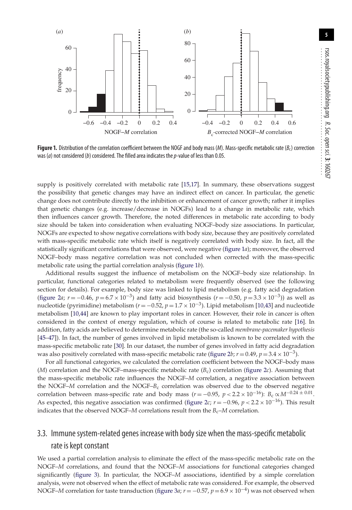

<span id="page-4-0"></span>**Figure 1.** Distribution of the correlation coefficient between the NOGF and body mass (*M*). Mass-specific metabolic rate (*B*c) correction was (*a*) not considered (*b*) considered. The filled area indicates the*p*-value of less than 0.05.

supply is positively correlated with metabolic rate [\[15](#page-9-36)[,17\]](#page-9-14). In summary, these observations suggest the possibility that genetic changes may have an indirect effect on cancer. In particular, the genetic change does not contribute directly to the inhibition or enhancement of cancer growth; rather it implies that genetic changes (e.g. increase/decrease in NOGFs) lead to a change in metabolic rate, which then influences cancer growth. Therefore, the noted differences in metabolic rate according to body size should be taken into consideration when evaluating NOGF–body size associations. In particular, NOGFs are expected to show negative correlations with body size, because they are positively correlated with mass-specific metabolic rate which itself is negatively correlated with body size. In fact, all the statistically significant correlations that were observed, were negative [\(figure 1](#page-4-0)*a*); moreover, the observed NOGF–body mass negative correlation was not concluded when corrected with the mass-specific metabolic rate using the partial correlation analysis [\(figure 1](#page-4-0)*b*).

Additional results suggest the influence of metabolism on the NOGF–body size relationship. In particular, functional categories related to metabolism were frequently observed (see the following section for details). For example, body size was linked to lipid metabolism (e.g. fatty acid degradation [\(figure 2](#page-5-0)*a*; *r* = −0.46, *p* = 6.7 × 10<sup>-3</sup>) and fatty acid biosynthesis (*r* = −0.50, *p* = 3.3 × 10<sup>-3</sup>)) as well as nucleotide (pyrimidine) metabolism (*<sup>r</sup>* = −0.52, *<sup>p</sup>* <sup>=</sup> 1.7 <sup>×</sup> <sup>10</sup>−3). Lipid metabolism [\[10](#page-9-8)[,43\]](#page-10-1) and nucleotide metabolism [\[10,](#page-9-8)[44\]](#page-10-2) are known to play important roles in cancer. However, their role in cancer is often considered in the context of energy regulation, which of course is related to metabolic rate [\[16\]](#page-9-13). In addition, fatty acids are believed to determine metabolic rate (the so-called *membrane-pacemaker hypothesis* [\[45](#page-10-3)[–47\]](#page-10-4)). In fact, the number of genes involved in lipid metabolism is known to be correlated with the mass-specific metabolic rate [\[30\]](#page-9-25). In our dataset, the number of genes involved in fatty acid degradation was also positively correlated with mass-specific metabolic rate [\(figure 2](#page-5-0)*b*; *r* = 0.49, *p* = 3.4 × 10<sup>-3</sup>).

For all functional categories, we calculated the correlation coefficient between the NOGF–body mass  $(M)$  correlation and the NOGF–mass-specific metabolic rate  $(B<sub>c</sub>)$  correlation [\(figure 2](#page-5-0)*c*). Assuming that the mass-specific metabolic rate influences the NOGF–*M* correlation, a negative association between the NOGF–*M* correlation and the NOGF–*B*c correlation was observed due to the observed negative correlation between mass-specific rate and body mass ( $r = -0.95$ ,  $p < 2.2 \times 10^{-16}$ ):  $B_c \propto M^{-0.24 \pm 0.01}$ . As expected, this negative association was confirmed [\(figure 2](#page-5-0)*c*;  $r = -0.96$ ,  $p < 2.2 \times 10^{-16}$ ). This result indicates that the observed NOGF– $M$  correlations result from the  $B_c$ – $M$  correlation.

#### 3.3. Immune system-related genes increase with body size when the mass-specific metabolic rate is kept constant

We used a partial correlation analysis to eliminate the effect of the mass-specific metabolic rate on the NOGF–*M* correlations, and found that the NOGF–*M* associations for functional categories changed significantly [\(figure 3\)](#page-5-1). In particular, the NOGF–*M* associations, identified by a simple correlation analysis, were not observed when the effect of metabolic rate was considered. For example, the observed NOGF–*M* correlation for taste transduction [\(figure 3](#page-5-1)*a*;  $r = -0.57$ ,  $p = 6.9 \times 10^{-4}$ ) was not observed when

**5**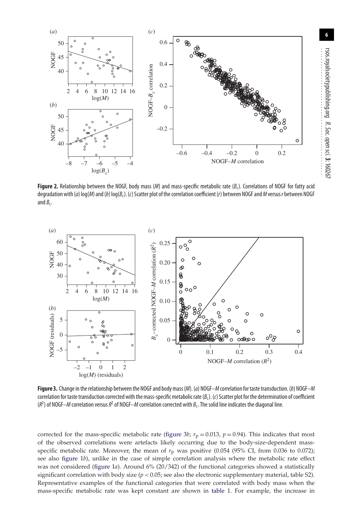

<span id="page-5-0"></span>**Figure 2.** Relationship between the NOGF, body mass (*M*) and mass-specific metabolic rate ( $B_c$ ). Correlations of NOGF for fatty acid degradation with (*a*) log(*M*) and (*b*) log(*B*c). (*c*) Scatter plot of the correlation coefficient (*r*) between NOGF and*M*versus*r*between NOGF and  $B_c$ .



<span id="page-5-1"></span>**Figure 3.** Change in the relationship between the NOGF and body mass (*M*). (*a*) NOGF–*M*correlation for taste transduction. (*b*) NOGF–*M* correlation for taste transduction corrected with the mass-specific metabolic rate (*B*c). (*c*) Scatter plot for the determination of coefficient (*R*2 ) of NOGF–*M* correlation versus*R*<sup>2</sup> of NOGF–*M* correlation corrected with *B*c. The solid line indicates the diagonal line.

corrected for the mass-specific metabolic rate [\(figure 3](#page-5-1)*b*;  $r_p = 0.013$ ,  $p = 0.94$ ). This indicates that most of the observed correlations were artefacts likely occurring due to the body-size-dependent massspecific metabolic rate. Moreover, the mean of  $r<sub>p</sub>$  was positive (0.054 (95% CI, from 0.036 to 0.072); see also [figure 1](#page-4-0)*b*), unlike in the case of simple correlation analysis where the metabolic rate effect was not considered [\(figure 1](#page-4-0)*a*). Around 6% (20/342) of the functional categories showed a statistically significant correlation with body size  $(p < 0.05$ ; see also the electronic supplementary material, table S2). Representative examples of the functional categories that were correlated with body mass when the mass-specific metabolic rate was kept constant are shown in [table 1.](#page-6-0) For example, the increase in

*R. Soc.*

................................................

 *open*

 *sci.* **3**: 160267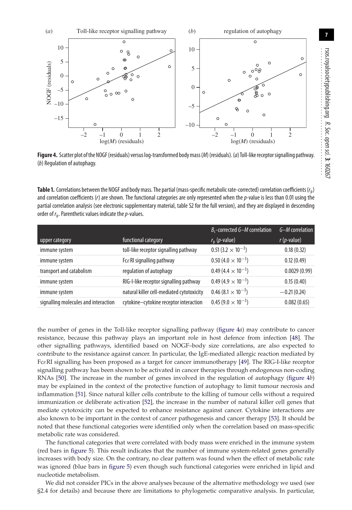

<span id="page-6-1"></span>

<span id="page-6-0"></span>**Table 1.** Correlations between the NOGF and body mass. The partial (mass-specific metabolic rate-corrected) correlation coefficients (*r*p) and correlation coefficients (*r*) are shown. The functional categories are only represented when the *p*-value is less than 0.01 using the partial correlation analysis (see electronic supplementary material, table S2 for the full version), and they are displayed in descending order of *r*p. Parenthetic values indicate the*p*-values.

|                                      |                                           | $B_c$ -corrected G-M correlation | $G-M$ correlation |
|--------------------------------------|-------------------------------------------|----------------------------------|-------------------|
| upper category                       | functional category                       | $r_{\rm p}$ ( <i>p</i> -value)   | $r(p$ -value)     |
| immune system                        | toll-like receptor signalling pathway     | $0.51(3.2 \times 10^{-3})$       | 0.18(0.32)        |
| immune system                        | $Fc\varepsilon Rl$ signalling pathway     | $0.50(4.0 \times 10^{-3})$       | 0.12(0.49)        |
| transport and catabolism             | regulation of autophagy                   | $0.49(4.4 \times 10^{-3})$       | 0.0029(0.99)      |
| immune system                        | RIG-I-like receptor signalling pathway    | $0.49(4.9\times10^{-3})$         | 0.15(0.40)        |
| immune system                        | natural killer cell-mediated cytotoxicity | $0.46(8.1\times10^{-3})$         | $-0.21(0.24)$     |
| signalling molecules and interaction | cytokine-cytokine receptor interaction    | $0.45(9.0 \times 10^{-3})$       | 0.082(0.65)       |

the number of genes in the Toll-like receptor signalling pathway [\(figure 4](#page-6-1)*a*) may contribute to cancer resistance, because this pathway plays an important role in host defence from infection [\[48\]](#page-10-5). The other signalling pathways, identified based on NOGF–body size correlations, are also expected to contribute to the resistance against cancer. In particular, the IgE-mediated allergic reaction mediated by FcεRI signalling has been proposed as a target for cancer immunotherapy [\[49\]](#page-10-6). The RIG-I-like receptor signalling pathway has been shown to be activated in cancer therapies through endogenous non-coding RNAs [\[50\]](#page-10-7). The increase in the number of genes involved in the regulation of autophagy [\(figure 4](#page-6-1)*b*) may be explained in the context of the protective function of autophagy to limit tumour necrosis and inflammation [\[51\]](#page-10-8). Since natural killer cells contribute to the killing of tumour cells without a required immunization or deliberate activation [\[52\]](#page-10-9), the increase in the number of natural killer cell genes that mediate cytotoxicity can be expected to enhance resistance against cancer. Cytokine interactions are also known to be important in the context of cancer pathogenesis and cancer therapy [\[53\]](#page-10-10). It should be noted that these functional categories were identified only when the correlation based on mass-specific metabolic rate was considered.

The functional categories that were correlated with body mass were enriched in the immune system (red bars in [figure 5\)](#page-7-0). This result indicates that the number of immune system-related genes generally increases with body size. On the contrary, no clear pattern was found when the effect of metabolic rate was ignored (blue bars in [figure 5\)](#page-7-0) even though such functional categories were enriched in lipid and nucleotide metabolism.

We did not consider PICs in the above analyses because of the alternative methodology we used (see §2.4 for details) and because there are limitations to phylogenetic comparative analysis. In particular,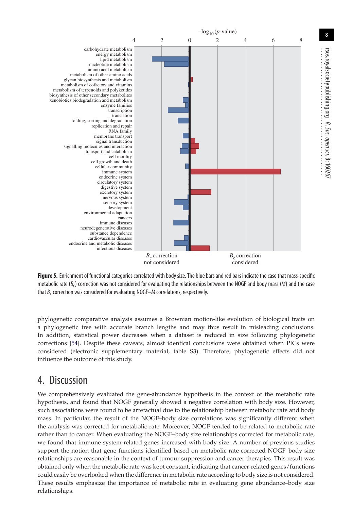

<span id="page-7-0"></span>**Figure 5.** Enrichment of functional categories correlated with body size. The blue bars and red bars indicate the case that mass-specific metabolic rate (*B*c) correction was not considered for evaluating the relationships between the NOGF and body mass (*M*) and the case that  $B_c$  correction was considered for evaluating NOGF– $M$  correlations, respectively.

phylogenetic comparative analysis assumes a Brownian motion-like evolution of biological traits on a phylogenetic tree with accurate branch lengths and may thus result in misleading conclusions. In addition, statistical power decreases when a dataset is reduced in size following phylogenetic corrections [\[54\]](#page-10-11). Despite these caveats, almost identical conclusions were obtained when PICs were considered (electronic supplementary material, table S3). Therefore, phylogenetic effects did not influence the outcome of this study.

## 4. Discussion

We comprehensively evaluated the gene-abundance hypothesis in the context of the metabolic rate hypothesis, and found that NOGF generally showed a negative correlation with body size. However, such associations were found to be artefactual due to the relationship between metabolic rate and body mass. In particular, the result of the NOGF–body size correlations was significantly different when the analysis was corrected for metabolic rate. Moreover, NOGF tended to be related to metabolic rate rather than to cancer. When evaluating the NOGF–body size relationships corrected for metabolic rate, we found that immune system-related genes increased with body size. A number of previous studies support the notion that gene functions identified based on metabolic rate-corrected NOGF–body size relationships are reasonable in the context of tumour suppression and cancer therapies. This result was obtained only when the metabolic rate was kept constant, indicating that cancer-related genes/functions could easily be overlooked when the difference in metabolic rate according to body size is not considered. These results emphasize the importance of metabolic rate in evaluating gene abundance–body size relationships.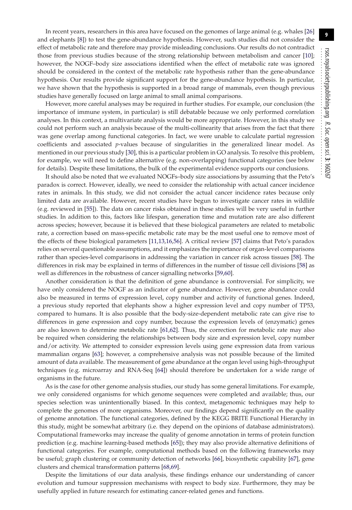**9**

In recent years, researchers in this area have focused on the genomes of large animal (e.g. whales [\[26\]](#page-9-21) and elephants [\[8\]](#page-9-6)) to test the gene-abundance hypothesis. However, such studies did not consider the effect of metabolic rate and therefore may provide misleading conclusions. Our results do not contradict those from previous studies because of the strong relationship between metabolism and cancer [\[10\]](#page-9-8); however, the NOGF–body size associations identified when the effect of metabolic rate was ignored should be considered in the context of the metabolic rate hypothesis rather than the gene-abundance hypothesis. Our results provide significant support for the gene-abundance hypothesis. In particular, we have shown that the hypothesis is supported in a broad range of mammals, even though previous studies have generally focused on large animal to small animal comparisons.

However, more careful analyses may be required in further studies. For example, our conclusion (the importance of immune system, in particular) is still debatable because we only performed correlation analyses. In this context, a multivariate analysis would be more appropriate. However, in this study we could not perform such an analysis because of the multi-collinearity that arises from the fact that there was gene overlap among functional categories. In fact, we were unable to calculate partial regression coefficients and associated *p*-values because of singularities in the generalized linear model. As mentioned in our previous study [\[30\]](#page-9-25), this is a particular problem in GO analysis. To resolve this problem, for example, we will need to define alternative (e.g. non-overlapping) functional categories (see below for details). Despite these limitations, the bulk of the experimental evidence supports our conclusions.

It should also be noted that we evaluated NOGFs–body size associations by assuming that the Peto's paradox is correct. However, ideally, we need to consider the relationship with actual cancer incidence rates in animals. In this study, we did not consider the actual cancer incidence rates because only limited data are available. However, recent studies have begun to investigate cancer rates in wildlife (e.g. reviewed in [\[55\]](#page-10-12)). The data on cancer risks obtained in these studies will be very useful in further studies. In addition to this, factors like lifespan, generation time and mutation rate are also different across species; however, because it is believed that these biological parameters are related to metabolic rate, a correction based on mass-specific metabolic rate may be the most useful one to remove most of the effects of these biological parameters [\[11](#page-9-9)[,13](#page-9-11)[,16](#page-9-13)[,56\]](#page-10-13). A critical review [\[57\]](#page-10-14) claims that Peto's paradox relies on several questionable assumptions, and it emphasizes the importance of organ-level comparisons rather than species-level comparisons in addressing the variation in cancer risk across tissues [\[58\]](#page-10-15). The differences in risk may be explained in terms of differences in the number of tissue cell divisions [\[58\]](#page-10-15) as well as differences in the robustness of cancer signalling networks [\[59,](#page-10-16)[60\]](#page-10-17).

Another consideration is that the definition of gene abundance is controversial. For simplicity, we have only considered the NOGF as an indicator of gene abundance. However, gene abundance could also be measured in terms of expression level, copy number and activity of functional genes. Indeed, a previous study reported that elephants show a higher expression level and copy number of TP53, compared to humans. It is also possible that the body-size-dependent metabolic rate can give rise to differences in gene expression and copy number, because the expression levels of (enzymatic) genes are also known to determine metabolic rate [\[61,](#page-10-18)[62\]](#page-10-19). Thus, the correction for metabolic rate may also be required when considering the relationships between body size and expression level, copy number and/or activity. We attempted to consider expression levels using gene expression data from various mammalian organs [\[63\]](#page-10-20); however, a comprehensive analysis was not possible because of the limited amount of data available. The measurement of gene abundance at the organ level using high-throughput techniques (e.g. microarray and RNA-Seq [\[64\]](#page-10-21)) should therefore be undertaken for a wide range of organisms in the future.

As is the case for other genome analysis studies, our study has some general limitations. For example, we only considered organisms for which genome sequences were completed and available; thus, our species selection was unintentionally biased. In this context, metagenomic techniques may help to complete the genomes of more organisms. Moreover, our findings depend significantly on the quality of genome annotation. The functional categories, defined by the KEGG BRITE Functional Hierarchy in this study, might be somewhat arbitrary (i.e. they depend on the opinions of database administrators). Computational frameworks may increase the quality of genome annotation in terms of protein function prediction (e.g. machine learning-based methods [\[65\]](#page-10-22)); they may also provide alternative definitions of functional categories. For example, computational methods based on the following frameworks may be useful; graph clustering or community detection of networks [\[66\]](#page-10-23), biosynthetic capability [\[67\]](#page-10-24), gene clusters and chemical transformation patterns [\[68,](#page-10-25)[69\]](#page-10-26).

Despite the limitations of our data analysis, these findings enhance our understanding of cancer evolution and tumour suppression mechanisms with respect to body size. Furthermore, they may be usefully applied in future research for estimating cancer-related genes and functions.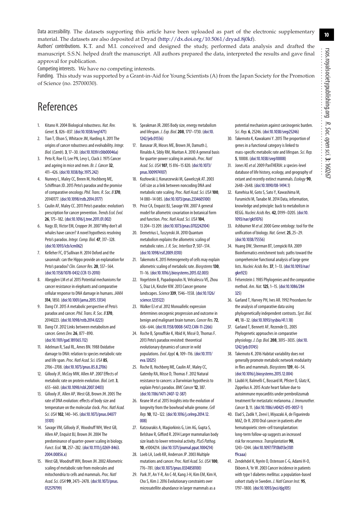Data accessibility. The datasets supporting this article have been uploaded as part of the electronic supplementary material. The datasets are also deposited at Dryad [\(http://dx.doi.org/10.5061/dryad.8j0kf\)](http://dx.doi.org/10.5061/dryad.8j0kf).

Authors' contributions. K.T. and M.I. conceived and designed the study, performed data analysis and drafted the manuscript. S.S.N. helped draft the manuscript. All authors prepared the data, interpreted the results and gave final approval for publication.

Competing interests. We have no competing interests.

Funding. This study was supported by a Grant-in-Aid for Young Scientists (A) from the Japan Society for the Promotion of Science (no. 25700030).

# References

- <span id="page-9-0"></span>1. Kitano H. 2004 Biological robustness. *Nat. Rev. Genet.***5**, 826–837. [\(doi:10.1038/nrg1471\)](http://dx.doi.org/10.1038/nrg1471)
- <span id="page-9-1"></span>2. Tian T, Olson S, Whitacre JM, Harding A. 2011 The origins of cancer robustness and evolvability. *Integr. Biol.* (*Camb*)*.***3**, 17–30. [\(doi:10.1039/c0ib00046a\)](http://dx.doi.org/10.1039/c0ib00046a)
- <span id="page-9-2"></span>3. Peto R, Roe FJ, Lee PN, Levy L, Clack J. 1975 Cancer and ageing in mice and men. *Br. J. Cancer* **32**, 411–426. [\(doi:10.1038/bjc.1975.242\)](http://dx.doi.org/10.1038/bjc.1975.242)
- <span id="page-9-3"></span>4. Nunney L, Maley CC, Breen M, Hochberg ME, Schiffman JD. 2015 Peto's paradox and the promise of comparative oncology.*Phil. Trans. R. Soc. B* **370**, 20140177. [\(doi:10.1098/rstb.2014.0177\)](http://dx.doi.org/10.1098/rstb.2014.0177)
- <span id="page-9-18"></span>5. Caulin AF, Maley CC. 2011 Peto's paradox: evolution's prescription for cancer prevention.*Trends Ecol. Evol.* **26**, 175–182. [\(doi:10.1016/j.tree.2011.01.002\)](http://dx.doi.org/10.1016/j.tree.2011.01.002)
- <span id="page-9-4"></span>6. Nagy JD, Victor EM, Cropper JH. 2007 Why don't all whales have cancer? A novel hypothesis resolving Peto's paradox. *Integr. Comp. Biol.* **47**, 317–328. [\(doi:10.1093/icb/icm062\)](http://dx.doi.org/10.1093/icb/icm062)
- <span id="page-9-5"></span>7. Kelleher FC, O'Sullivan H. 2014 Oxford and the savannah: can the Hippo provide an explanation for Peto's paradox?*Clin. Cancer Res.***20**, 557–564. [\(doi:10.1158/1078-0432.CCR-13-2010\)](http://dx.doi.org/10.1158/1078-0432.CCR-13-2010)
- <span id="page-9-6"></span>8. Abegglen LM *et al.*2015 Potential mechanisms for cancer resistance in elephants and comparative cellular response to DNA damage in humans. *JAMA* **314**, 1850. [\(doi:10.1001/jama.2015.13134\)](http://dx.doi.org/10.1001/jama.2015.13134)
- <span id="page-9-7"></span>9. Dang CV. 2015 A metabolic perspective of Peto's paradox and cancer.*Phil. Trans. R. Soc. B* **370**, 20140223. [\(doi:10.1098/rstb.2014.0223\)](http://dx.doi.org/10.1098/rstb.2014.0223)
- <span id="page-9-8"></span>10. Dang CV. 2012 Links between metabolism and cancer. *Genes Dev.***26**, 877–890. [\(doi:10.1101/gad.189365.112\)](http://dx.doi.org/10.1101/gad.189365.112)
- <span id="page-9-9"></span>11. Adelman R, Saul RL, Ames BN. 1988 Oxidative damage to DNA: relation to species metabolic rate and life span.*Proc. Natl Acad. Sci. USA* **85**, 2706–2708. [\(doi:10.1073/pnas.85.8.2706\)](http://dx.doi.org/10.1073/pnas.85.8.2706)
- <span id="page-9-10"></span>12. Gillooly JF, McCoy MW, Allen AP. 2007 Effects of metabolic rate on protein evolution. *Biol. Lett.***3**, 655–660. [\(doi:10.1098/rsbl.2007.0403\)](http://dx.doi.org/10.1098/rsbl.2007.0403)
- <span id="page-9-11"></span>13. Gillooly JF, Allen AP, West GB, Brown JH. 2005 The rate of DNA evolution: effects of body size and temperature on the molecular clock.*Proc. Natl Acad. Sci. USA* **102**, 140–145. [\(doi:10.1073/pnas.04077](http://dx.doi.org/10.1073/pnas.0407735101) [35101\)](http://dx.doi.org/10.1073/pnas.0407735101)
- <span id="page-9-12"></span>14. Savage VM, Gillooly JF, Woodruff WH, West GB, Allen AP, Enquist BJ, Brown JH. 2004 The predominance of quarter-power scaling in biology. *Funct. Ecol.***18**, 257–282. [\(doi:10.1111/j.0269-8463.](http://dx.doi.org/10.1111/j.0269-8463.2004.00856.x) [2004.00856.x\)](http://dx.doi.org/10.1111/j.0269-8463.2004.00856.x)
- <span id="page-9-36"></span>15. West GB, Woodruff WH, Brown JH. 2002 Allometric scaling of metabolic rate from molecules and mitochondria to cells and mammals.*Proc. Natl Acad. Sci. USA* **99**, 2473–2478. [\(doi:10.1073/pnas.](http://dx.doi.org/10.1073/pnas.012579799) [012579799\)](http://dx.doi.org/10.1073/pnas.012579799)
- <span id="page-9-13"></span>16. Speakman JR. 2005 Body size, energy metabolism and lifespan. *J. Exp. Biol.***208**, 1717–1730. [\(doi:10.](http://dx.doi.org/10.1242/jeb.01556) [1242/jeb.01556\)](http://dx.doi.org/10.1242/jeb.01556)
- <span id="page-9-14"></span>17. Banavar JR, Moses ME, Brown JH, Damuth J, Rinaldo A, Sibly RM, Maritan A. 2010 A general basis for quarter-power scaling in animals.*Proc. Natl Acad. Sci. USA* **107**, 15 816–15 820. [\(doi:10.1073/](http://dx.doi.org/10.1073/pnas.1009974107) [pnas.1009974107\)](http://dx.doi.org/10.1073/pnas.1009974107)
- 18. Kozłowski J, Konarzewski M, Gawelczyk AT. 2003 Cell size as a link between noncoding DNA and metabolic rate scaling.*Proc. Natl Acad. Sci. USA* **100**, 14 080–14 085. [\(doi:10.1073/pnas.2334605100\)](http://dx.doi.org/10.1073/pnas.2334605100)
- 19. Price CA, Enquist BJ, Savage VM. 2007 A general model for allometric covariation in botanical form and function.*Proc. Natl Acad. Sci. USA* **104**, 13 204–13 209. [\(doi:10.1073/pnas.0702242104\)](http://dx.doi.org/10.1073/pnas.0702242104)
- 20. Demetrius L, Tuszynski JA. 2010 Quantum metabolism explains the allometric scaling of metabolic rates. *J. R. Soc. Interface***7**, 507–514. [\(doi:10.1098/rsif.2009.0310\)](http://dx.doi.org/10.1098/rsif.2009.0310)
- <span id="page-9-15"></span>21. Takemoto K. 2015 Heterogeneity of cells may explain allometric scaling of metabolic rate. *Biosystems***130**, 11–16. [\(doi:10.1016/j.biosystems.2015.02.003\)](http://dx.doi.org/10.1016/j.biosystems.2015.02.003)
- <span id="page-9-16"></span>22. Vogelstein B, Papadopoulos N, Velculescu VE, Zhou S, Diaz LA, Kinzler KW. 2013 Cancer genome landscapes.*Science***339**, 1546–1558. [\(doi:10.1126/](http://dx.doi.org/10.1126/science.1235122) [science.1235122\)](http://dx.doi.org/10.1126/science.1235122)
- <span id="page-9-17"></span>23. Walker EJ*et al.*2012 Monoallelic expression determines oncogenic progression and outcome in benign and malignant brain tumors.*Cancer Res.***72**, 636–644. [\(doi:10.1158/0008-5472.CAN-11-2266\)](http://dx.doi.org/10.1158/0008-5472.CAN-11-2266)
- <span id="page-9-19"></span>24. Roche B, Sprouffske K, Hbid H, Missé D, Thomas F. 2013 Peto's paradox revisited: theoretical evolutionary dynamics of cancer in wild populations.*Evol. Appl.* **6**, 109–116. [\(doi:10.1111/](http://dx.doi.org/10.1111/eva.12025) [eva.12025\)](http://dx.doi.org/10.1111/eva.12025)
- <span id="page-9-20"></span>25. Roche B, Hochberg ME, Caulin AF, Maley CC, Gatenby RA, Misse D, Thomas F. 2012 Natural resistance to cancers: a Darwinian hypothesis to explain Peto's paradox. *BMC Cancer* **12**, 387. [\(doi:10.1186/1471-2407-12-387\)](http://dx.doi.org/10.1186/1471-2407-12-387)
- <span id="page-9-21"></span>26. Keane M *et al.*2015 Insights into the evolution of longevity from the bowhead whale genome.*Cell Rep.***10**, 112–122. [\(doi:10.1016/j.celrep.2014.12.](http://dx.doi.org/10.1016/j.celrep.2014.12.008) [008\)](http://dx.doi.org/10.1016/j.celrep.2014.12.008)
- <span id="page-9-22"></span>27. Katzourakis A, Magiorkinis G, Lim AG, Gupta S, Belshaw R, Gifford R. 2014 Larger mammalian body size leads to lower retroviral activity.*PLoS Pathog.* **10**, e1004214. [\(doi:10.1371/journal.ppat.1004214\)](http://dx.doi.org/10.1371/journal.ppat.1004214)
- <span id="page-9-23"></span>28. Loeb LA, Loeb KR, Anderson JP. 2003 Multiple mutations and cancer.*Proc. Natl Acad. Sci. USA* **100**, 776–781. [\(doi:10.1073/pnas.0334858100\)](http://dx.doi.org/10.1073/pnas.0334858100)
- <span id="page-9-24"></span>29. Park JY, An Y-R, An C-M, Kang J-H, Kim EM, Kim H, Cho S, Kim J. 2016 Evolutionary constraints over microsatellite abundance in larger mammals as a

potential mechanism against carcinogenic burden. *Sci. Rep.* **6**, 25246. [\(doi:10.1038/srep25246\)](http://dx.doi.org/10.1038/srep25246)

- <span id="page-9-25"></span>30. Takemoto K, Kawakami Y. 2015 The proportion of genes in a functional category is linked to mass-specific metabolic rate and lifespan.*Sci. Rep.* **5**, 10008. [\(doi:10.1038/srep10008\)](http://dx.doi.org/10.1038/srep10008)
- <span id="page-9-26"></span>31. Jones KE*et al.*2009 PanTHERIA: a species-level database of life history, ecology, and geography of extant and recently extinct mammals.*Ecology* **90**, 2648–2648. [\(doi:10.1890/08-1494.1\)](http://dx.doi.org/10.1890/08-1494.1)
- <span id="page-9-27"></span>32. Kanehisa M, Goto S, Sato Y, Kawashima M, Furumichi M, Tanabe M. 2014 Data, information, knowledge and principle: back to metabolism in KEGG. *Nucleic Acids Res.* **42**, D199–D205. [\(doi:10.](http://dx.doi.org/10.1093/nar/gkt1076) [1093/nar/gkt1076\)](http://dx.doi.org/10.1093/nar/gkt1076)
- <span id="page-9-28"></span>33. Ashburner M *et al.*2000 Gene ontology: tool for the unification of biology. *Nat. Genet.***25**, 25–29. [\(doi:10.1038/75556\)](http://dx.doi.org/10.1038/75556)
- <span id="page-9-29"></span>34. Huang DW, Sherman BT, Lempicki RA. 2009 Bioinformatics enrichment tools: paths toward the comprehensive functional analysis of large gene lists. *Nucleic Acids Res.***37**, 1–13. [\(doi:10.1093/nar/](http://dx.doi.org/10.1093/nar/gkn923) [gkn923\)](http://dx.doi.org/10.1093/nar/gkn923)
- <span id="page-9-30"></span>35. Felsenstein J. 1985 Phylogenies and the comparative method. *Am. Nat.***125**, 1–15. [\(doi:10.1086/284](http://dx.doi.org/10.1086/284325) [325\)](http://dx.doi.org/10.1086/284325)
- <span id="page-9-31"></span>36. Garland T, Harvey PH, Ives AR. 1992 Procedures for the analysis of comparative data using phylogenetically independent contrasts.*Syst. Biol.* **41**, 18–32. [\(doi:10.1093/sysbio/41.1.18\)](http://dx.doi.org/10.1093/sysbio/41.1.18)
- <span id="page-9-32"></span>37. Garland T, Bennett AF, Rezende EL. 2005 Phylogenetic approaches in comparative physiology. *J. Exp. Biol.***208**, 3015–3035. [\(doi:10.](http://dx.doi.org/10.1242/jeb.01745) [1242/jeb.01745\)](http://dx.doi.org/10.1242/jeb.01745)
- <span id="page-9-33"></span>38. Takemoto K. 2016 Habitat variability does not generally promote metabolic network modularity in flies and mammals. *Biosystems***139**, 46–54. [\(doi:10.1016/j.biosystems.2015.12.004\)](http://dx.doi.org/10.1016/j.biosystems.2015.12.004)
- <span id="page-9-34"></span>39. Läubli H, Balmelli C, Bossard M, Pfister O, Glatz K, Zippelius A. 2015 Acute heart failure due to autoimmune myocarditis under pembrolizumab treatment for metastatic melanoma. *J. Immunother. Cancer* **3**, 11. [\(doi:10.1186/s40425-015-0057-1\)](http://dx.doi.org/10.1186/s40425-015-0057-1)
- 40. Elad S, Zadik Y, Zeevi I, Miyazaki A, de Figueiredo MAZ, Or R. 2010 Oral cancer in patients after hematopoietic stem-cell transplantation: long-term follow-up suggests an increased risk for recurrence.*Transplantation* **90**, 1243–1244. [\(doi:10.1097/TP.0b013e3181](http://dx.doi.org/10.1097/TP.0b013e3181f9caaa) [f9caaa\)](http://dx.doi.org/10.1097/TP.0b013e3181f9caaa)
- <span id="page-9-35"></span>41. Zendehdel K, Nyrén O, Ostenson C-G, Adami H-O, Ekbom A, Ye W. 2003 Cancer incidence in patients with type 1 diabetes mellitus: a population-based cohort study in Sweden. *J. Natl Cancer Inst.* **95**, 1797–1800. [\(doi:10.1093/jnci/djg105\)](http://dx.doi.org/10.1093/jnci/djg105)